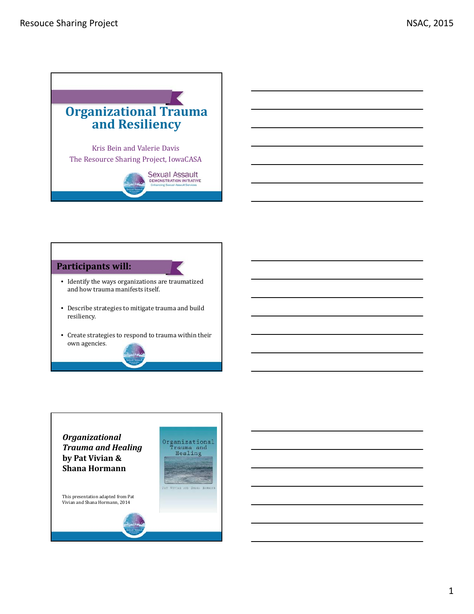

#### **Participants will:**

- $\bullet~$  Identify the ways organizations are traumatized and how trauma manifests itself.
- Describe strategies to mitigate trauma and build resiliency.
- Create strategies to respond to trauma within their own agencies.

Organizational<br>Trauma and<br>Healing

PAT VITTAN AND SHANA HORNANI



This presentation adapted from Pat Vivian and Shana Hormann, 2014

1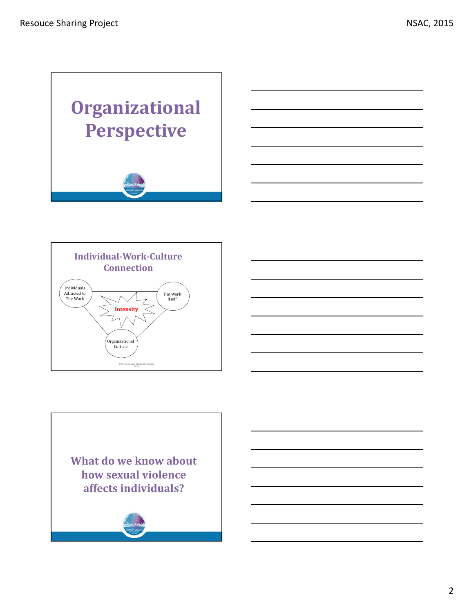



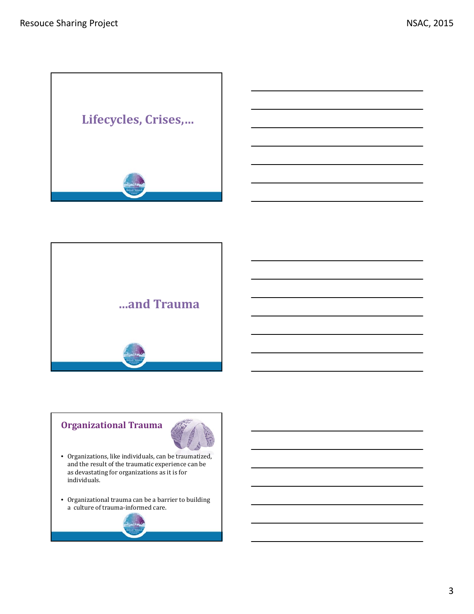



# **Organizational Trauma**



- Organizations, like individuals, can be traumatized, and the result of the traumatic experience can be as devastating for organizations as it is for individuals.
- Organizational trauma can be a barrier to building a culture of trauma-informed care.

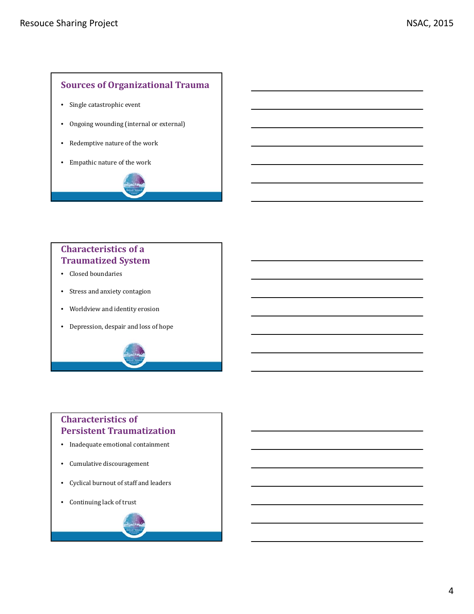#### **Sources of Organizational Trauma**

- Single catastrophic event
- Ongoing wounding (internal or external)
- Redemptive nature of the work
- Empathic nature of the work



### **Characteristics of a Traumatized System**

- Closed boundaries
- Stress and anxiety contagion
- Worldview and identity erosion
- Depression, despair and loss of hope

# **Characteristics of Persistent Traumatization**

- Inadequate emotional containment
- $\bullet$  Cumulative discouragement
- Cyclical burnout of staff and leaders
- Continuing lack of trust

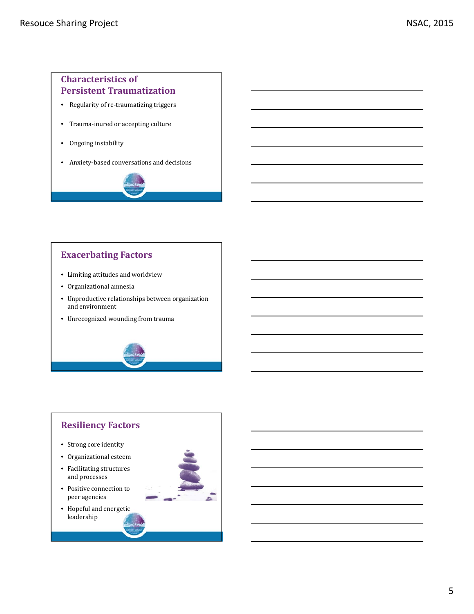#### **Characteristics of Persistent Traumatization**

- Regularity of re-traumatizing triggers
- Trauma-inured or accepting culture
- Ongoing instability
- Anxiety-based conversations and decisions



- Limiting attitudes and worldview
- Organizational amnesia
- Unproductive relationships between organization and environment
- Unrecognized wounding from trauma

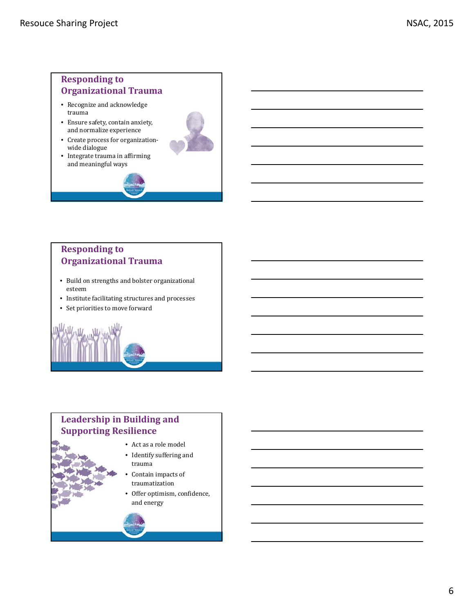# **Responding to Organizational Trauma**

- Recognize and acknowledge trauma
- Ensure safety, contain anxiety, and normalize experience
- Create process for organizationwide dialogue
- $\bullet$  Integrate trauma in affirming and meaningful ways



# **Responding to Organizational Trauma**

- Build on strengths and bolster organizational esteem
- Institute facilitating structures and processes
- Set priorities to move forward

# **Leadership in Building and Supporting Resilience**

- Act as a role model
- $\bullet~$  Identify suffering and trauma
- Contain impacts of traumatization
- Offer optimism, confidence, and energy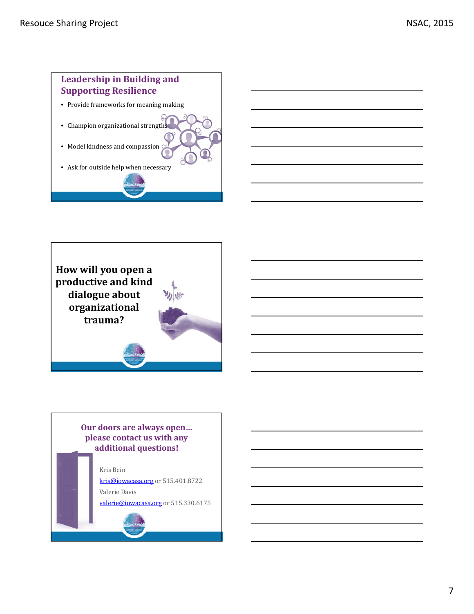# **Leadership in Building and Supporting Resilience** • Provide frameworks for meaning making • Champion organizational strengths • Model kindness and compassion  $\mathcal G$ • Ask for outside help when necessary



### **Our doors are always open… please contact us with any additional questions!**

Kris Bein kris@iowacasa.org or 515.401.8722 Valerie Davis valerie@iowacasa.org or 515.330.6175